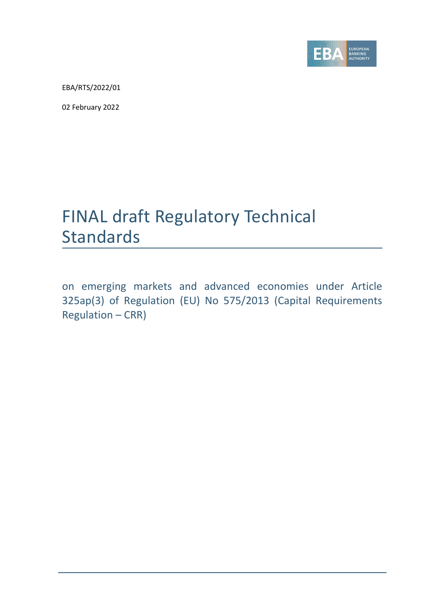

EBA/RTS/2022/01

02 February 2022

# FINAL draft Regulatory Technical **Standards**

on emerging markets and advanced economies under Article 325ap(3) of Regulation (EU) No 575/2013 (Capital Requirements Regulation – CRR)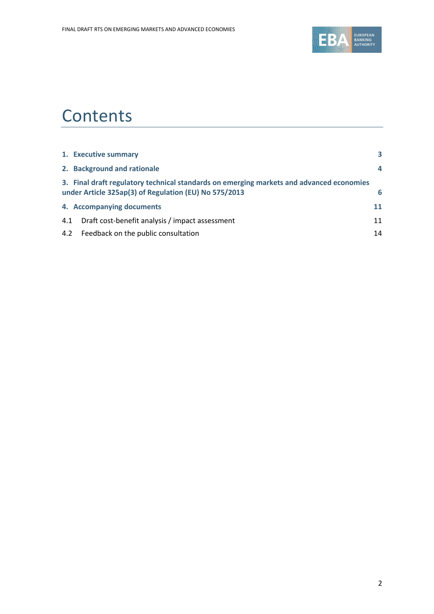

# **Contents**

|     | 1. Executive summary                                                                                                                              | 3              |
|-----|---------------------------------------------------------------------------------------------------------------------------------------------------|----------------|
|     | 2. Background and rationale                                                                                                                       | $\overline{a}$ |
|     | 3. Final draft regulatory technical standards on emerging markets and advanced economies<br>under Article 325ap(3) of Regulation (EU) No 575/2013 | 6              |
|     | 4. Accompanying documents                                                                                                                         | 11             |
| 4.1 | Draft cost-benefit analysis / impact assessment                                                                                                   | 11             |
|     | 4.2 Feedback on the public consultation                                                                                                           | 14             |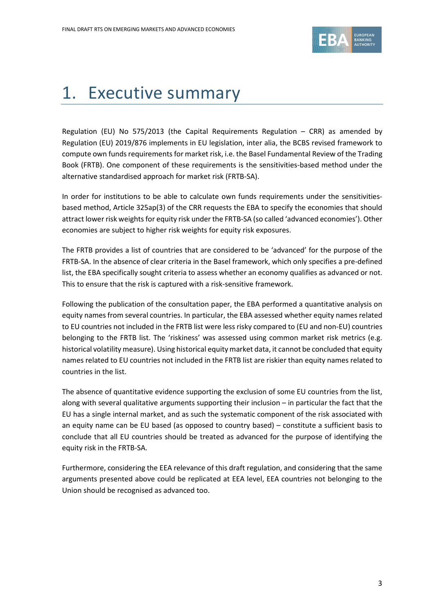

# <span id="page-2-0"></span>1. Executive summary

Regulation (EU) No 575/2013 (the Capital Requirements Regulation – CRR) as amended by Regulation (EU) 2019/876 implements in EU legislation, inter alia, the BCBS revised framework to compute own funds requirements for market risk, i.e. the Basel Fundamental Review of the Trading Book (FRTB). One component of these requirements is the sensitivities-based method under the alternative standardised approach for market risk (FRTB-SA).

In order for institutions to be able to calculate own funds requirements under the sensitivitiesbased method, Article 325ap(3) of the CRR requests the EBA to specify the economies that should attract lower risk weights for equity risk under the FRTB-SA (so called 'advanced economies'). Other economies are subject to higher risk weights for equity risk exposures.

The FRTB provides a list of countries that are considered to be 'advanced' for the purpose of the FRTB-SA. In the absence of clear criteria in the Basel framework, which only specifies a pre-defined list, the EBA specifically sought criteria to assess whether an economy qualifies as advanced or not. This to ensure that the risk is captured with a risk-sensitive framework.

Following the publication of the consultation paper, the EBA performed a quantitative analysis on equity names from several countries. In particular, the EBA assessed whether equity names related to EU countries not included in the FRTB list were less risky compared to (EU and non-EU) countries belonging to the FRTB list. The 'riskiness' was assessed using common market risk metrics (e.g. historical volatility measure). Using historical equity market data, it cannot be concluded that equity names related to EU countries not included in the FRTB list are riskier than equity names related to countries in the list.

The absence of quantitative evidence supporting the exclusion of some EU countries from the list, along with several qualitative arguments supporting their inclusion – in particular the fact that the EU has a single internal market, and as such the systematic component of the risk associated with an equity name can be EU based (as opposed to country based) – constitute a sufficient basis to conclude that all EU countries should be treated as advanced for the purpose of identifying the equity risk in the FRTB-SA.

Furthermore, considering the EEA relevance of this draft regulation, and considering that the same arguments presented above could be replicated at EEA level, EEA countries not belonging to the Union should be recognised as advanced too.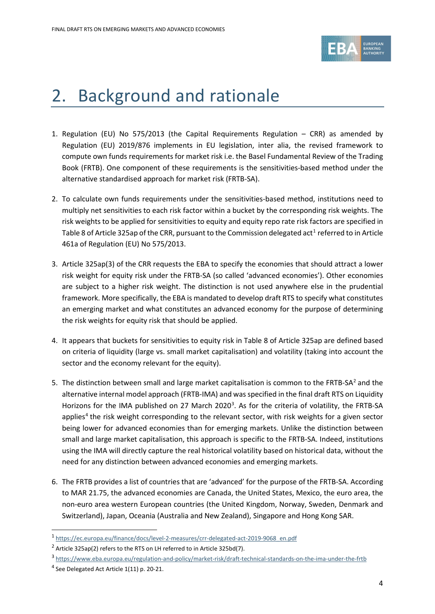

# <span id="page-3-0"></span>2. Background and rationale

- 1. Regulation (EU) No 575/2013 (the Capital Requirements Regulation CRR) as amended by Regulation (EU) 2019/876 implements in EU legislation, inter alia, the revised framework to compute own funds requirements for market risk i.e. the Basel Fundamental Review of the Trading Book (FRTB). One component of these requirements is the sensitivities-based method under the alternative standardised approach for market risk (FRTB-SA).
- 2. To calculate own funds requirements under the sensitivities-based method, institutions need to multiply net sensitivities to each risk factor within a bucket by the corresponding risk weights. The risk weights to be applied for sensitivities to equity and equity repo rate risk factors are specified in Table 8 of Article 325ap of the CRR, pursuant to the Commission delegated act<sup>[1](#page-3-1)</sup> referred to in Article 461a of Regulation (EU) No 575/2013.
- 3. Article 325ap(3) of the CRR requests the EBA to specify the economies that should attract a lower risk weight for equity risk under the FRTB-SA (so called 'advanced economies'). Other economies are subject to a higher risk weight. The distinction is not used anywhere else in the prudential framework. More specifically, the EBA is mandated to develop draft RTS to specify what constitutes an emerging market and what constitutes an advanced economy for the purpose of determining the risk weights for equity risk that should be applied.
- 4. It appears that buckets for sensitivities to equity risk in Table 8 of Article 325ap are defined based on criteria of liquidity (large vs. small market capitalisation) and volatility (taking into account the sector and the economy relevant for the equity).
- 5. The distinction between small and large market capitalisation is common to the FRTB-SA<sup>[2](#page-3-2)</sup> and the alternative internal model approach (FRTB-IMA) and was specified in the final draft RTS on Liquidity Horizons for the IMA published on 27 March 2020<sup>[3](#page-3-3)</sup>. As for the criteria of volatility, the FRTB-SA applies<sup>[4](#page-3-4)</sup> the risk weight corresponding to the relevant sector, with risk weights for a given sector being lower for advanced economies than for emerging markets. Unlike the distinction between small and large market capitalisation, this approach is specific to the FRTB-SA. Indeed, institutions using the IMA will directly capture the real historical volatility based on historical data, without the need for any distinction between advanced economies and emerging markets.
- 6. The FRTB provides a list of countries that are 'advanced' for the purpose of the FRTB-SA. According to MAR 21.75, the advanced economies are Canada, the United States, Mexico, the euro area, the non-euro area western European countries (the United Kingdom, Norway, Sweden, Denmark and Switzerland), Japan, Oceania (Australia and New Zealand), Singapore and Hong Kong SAR.

<span id="page-3-1"></span><sup>1</sup> [https://ec.europa.eu/finance/docs/level-2-measures/crr-delegated-act-2019-9068\\_en.pdf](https://ec.europa.eu/finance/docs/level-2-measures/crr-delegated-act-2019-9068_en.pdf)

<span id="page-3-2"></span><sup>2</sup> Article 325ap(2) refers to the RTS on LH referred to in Article 325bd(7).

<span id="page-3-4"></span><span id="page-3-3"></span><sup>3</sup> <https://www.eba.europa.eu/regulation-and-policy/market-risk/draft-technical-standards-on-the-ima-under-the-frtb> <sup>4</sup> See Delegated Act Article 1(11) p. 20-21.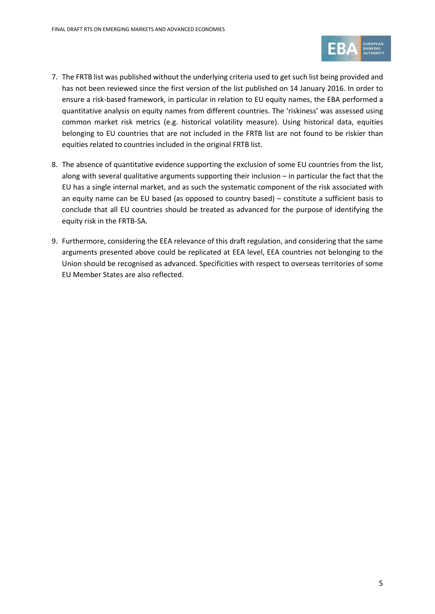

- 7. The FRTB list was published without the underlying criteria used to get such list being provided and has not been reviewed since the first version of the list published on 14 January 2016. In order to ensure a risk-based framework, in particular in relation to EU equity names, the EBA performed a quantitative analysis on equity names from different countries. The 'riskiness' was assessed using common market risk metrics (e.g. historical volatility measure). Using historical data, equities belonging to EU countries that are not included in the FRTB list are not found to be riskier than equities related to countries included in the original FRTB list.
- 8. The absence of quantitative evidence supporting the exclusion of some EU countries from the list, along with several qualitative arguments supporting their inclusion – in particular the fact that the EU has a single internal market, and as such the systematic component of the risk associated with an equity name can be EU based (as opposed to country based) – constitute a sufficient basis to conclude that all EU countries should be treated as advanced for the purpose of identifying the equity risk in the FRTB-SA.
- 9. Furthermore, considering the EEA relevance of this draft regulation, and considering that the same arguments presented above could be replicated at EEA level, EEA countries not belonging to the Union should be recognised as advanced. Specificities with respect to overseas territories of some EU Member States are also reflected.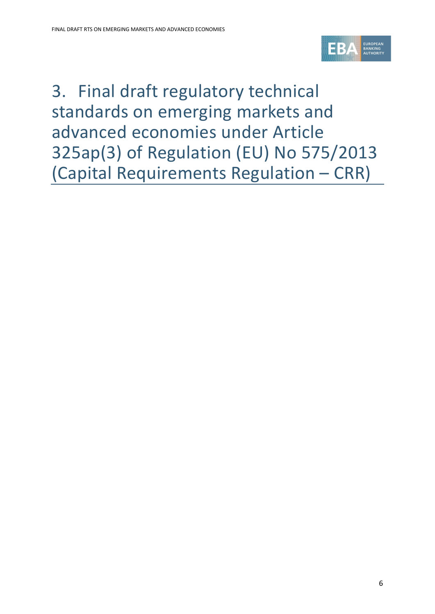

<span id="page-5-0"></span>3. Final draft regulatory technical standards on emerging markets and advanced economies under Article 325ap(3) of Regulation (EU) No 575/2013 (Capital Requirements Regulation – CRR)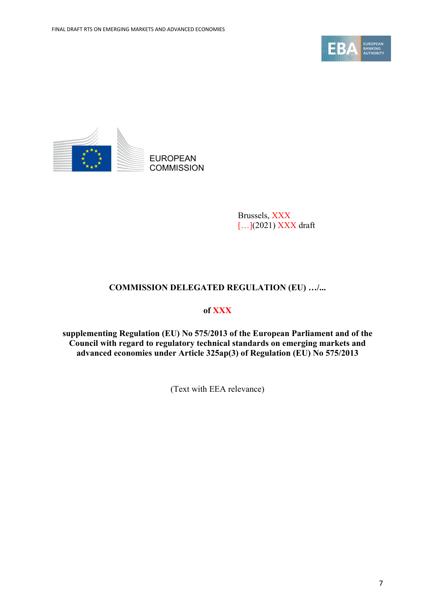



Brussels, XXX [...](2021) XXX draft

# **COMMISSION DELEGATED REGULATION (EU) …/...**

## **of XXX**

**supplementing Regulation (EU) No 575/2013 of the European Parliament and of the Council with regard to regulatory technical standards on emerging markets and advanced economies under Article 325ap(3) of Regulation (EU) No 575/2013**

(Text with EEA relevance)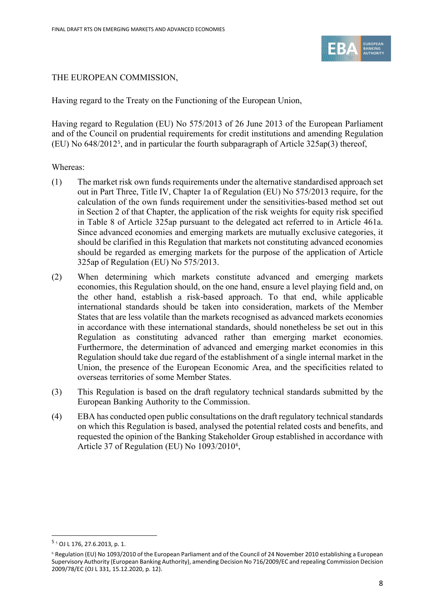

## THE EUROPEAN COMMISSION,

Having regard to the Treaty on the Functioning of the European Union,

Having regard to Regulation (EU) No 575/2013 of 26 June 2013 of the European Parliament and of the Council on prudential requirements for credit institutions and amending Regulation (EU) No 648/2012[5](#page-7-0) , and in particular the fourth subparagraph of Article 325ap(3) thereof,

### Whereas:

- (1) The market risk own funds requirements under the alternative standardised approach set out in Part Three, Title IV, Chapter 1a of Regulation (EU) No 575/2013 require, for the calculation of the own funds requirement under the sensitivities-based method set out in Section 2 of that Chapter, the application of the risk weights for equity risk specified in Table 8 of Article 325ap pursuant to the delegated act referred to in Article 461a. Since advanced economies and emerging markets are mutually exclusive categories, it should be clarified in this Regulation that markets not constituting advanced economies should be regarded as emerging markets for the purpose of the application of Article 325ap of Regulation (EU) No 575/2013.
- (2) When determining which markets constitute advanced and emerging markets economies, this Regulation should, on the one hand, ensure a level playing field and, on the other hand, establish a risk-based approach. To that end, while applicable international standards should be taken into consideration, markets of the Member States that are less volatile than the markets recognised as advanced markets economies in accordance with these international standards, should nonetheless be set out in this Regulation as constituting advanced rather than emerging market economies. Furthermore, the determination of advanced and emerging market economies in this Regulation should take due regard of the establishment of a single internal market in the Union, the presence of the European Economic Area, and the specificities related to overseas territories of some Member States.
- (3) This Regulation is based on the draft regulatory technical standards submitted by the European Banking Authority to the Commission.
- (4) EBA has conducted open public consultations on the draft regulatory technical standards on which this Regulation is based, analysed the potential related costs and benefits, and requested the opinion of the Banking Stakeholder Group established in accordance with Article 37 of Regulation (EU) No 1093/2010<sup>[6](#page-7-1)</sup>,

<span id="page-7-0"></span><sup>5</sup> <sup>5</sup> OJ L 176, 27.6.2013, p. 1.

<span id="page-7-1"></span><sup>&</sup>lt;sup>6</sup> Regulation (EU) No 1093/2010 of the European Parliament and of the Council of 24 November 2010 establishing a European Supervisory Authority (European Banking Authority), amending Decision No 716/2009/EC and repealing Commission Decision 2009/78/EC (OJ L 331, 15.12.2020, p. 12).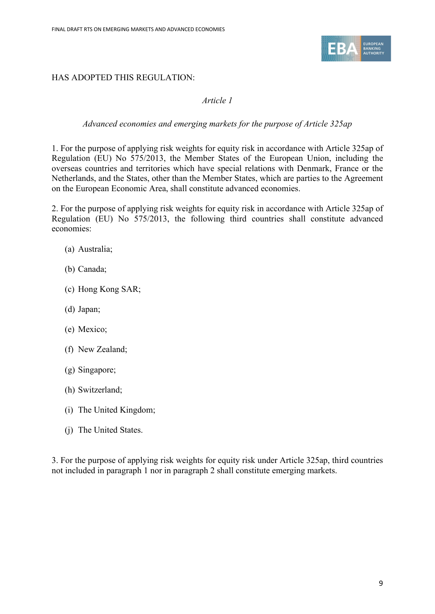

## HAS ADOPTED THIS REGULATION:

## *Article 1*

## *Advanced economies and emerging markets for the purpose of Article 325ap*

1. For the purpose of applying risk weights for equity risk in accordance with Article 325ap of Regulation (EU) No 575/2013, the Member States of the European Union, including the overseas countries and territories which have special relations with Denmark, France or the Netherlands, and the States, other than the Member States, which are parties to the Agreement on the European Economic Area, shall constitute advanced economies.

2. For the purpose of applying risk weights for equity risk in accordance with Article 325ap of Regulation (EU) No 575/2013, the following third countries shall constitute advanced economies:

- (a) Australia;
- (b) Canada;
- (c) Hong Kong SAR;
- (d) Japan;
- (e) Mexico;
- (f) New Zealand;
- (g) Singapore;
- (h) Switzerland;
- (i) The United Kingdom;
- (j) The United States.

3. For the purpose of applying risk weights for equity risk under Article 325ap, third countries not included in paragraph 1 nor in paragraph 2 shall constitute emerging markets.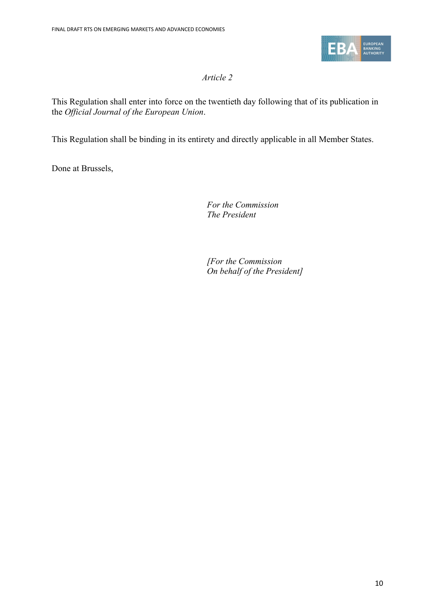

# *Article 2*

This Regulation shall enter into force on the twentieth day following that of its publication in the *Official Journal of the European Union*.

This Regulation shall be binding in its entirety and directly applicable in all Member States.

Done at Brussels,

*For the Commission The President*

*[For the Commission On behalf of the President]*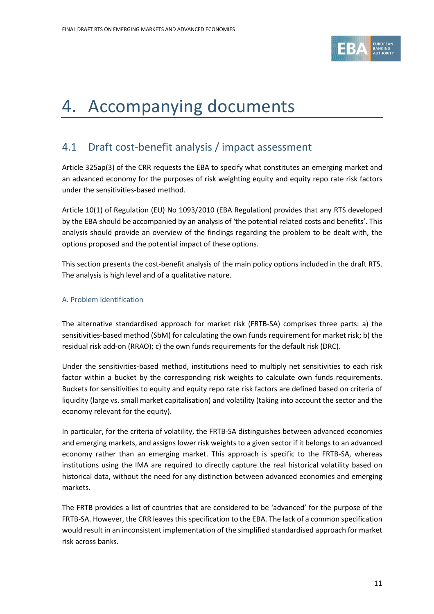

# <span id="page-10-0"></span>4. Accompanying documents

# <span id="page-10-1"></span>4.1 Draft cost-benefit analysis / impact assessment

Article 325ap(3) of the CRR requests the EBA to specify what constitutes an emerging market and an advanced economy for the purposes of risk weighting equity and equity repo rate risk factors under the sensitivities-based method.

Article 10(1) of Regulation (EU) No 1093/2010 (EBA Regulation) provides that any RTS developed by the EBA should be accompanied by an analysis of 'the potential related costs and benefits'. This analysis should provide an overview of the findings regarding the problem to be dealt with, the options proposed and the potential impact of these options.

This section presents the cost-benefit analysis of the main policy options included in the draft RTS. The analysis is high level and of a qualitative nature.

### A. Problem identification

The alternative standardised approach for market risk (FRTB-SA) comprises three parts: a) the sensitivities-based method (SbM) for calculating the own funds requirement for market risk; b) the residual risk add-on (RRAO); c) the own funds requirements for the default risk (DRC).

Under the sensitivities-based method, institutions need to multiply net sensitivities to each risk factor within a bucket by the corresponding risk weights to calculate own funds requirements. Buckets for sensitivities to equity and equity repo rate risk factors are defined based on criteria of liquidity (large vs. small market capitalisation) and volatility (taking into account the sector and the economy relevant for the equity).

In particular, for the criteria of volatility, the FRTB-SA distinguishes between advanced economies and emerging markets, and assigns lower risk weights to a given sector if it belongs to an advanced economy rather than an emerging market. This approach is specific to the FRTB-SA, whereas institutions using the IMA are required to directly capture the real historical volatility based on historical data, without the need for any distinction between advanced economies and emerging markets.

The FRTB provides a list of countries that are considered to be 'advanced' for the purpose of the FRTB-SA. However, the CRR leaves this specification to the EBA. The lack of a common specification would result in an inconsistent implementation of the simplified standardised approach for market risk across banks.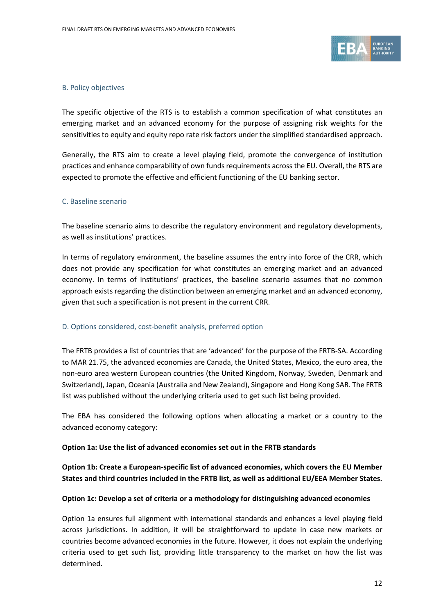

### B. Policy objectives

The specific objective of the RTS is to establish a common specification of what constitutes an emerging market and an advanced economy for the purpose of assigning risk weights for the sensitivities to equity and equity repo rate risk factors under the simplified standardised approach.

Generally, the RTS aim to create a level playing field, promote the convergence of institution practices and enhance comparability of own funds requirements across the EU. Overall, the RTS are expected to promote the effective and efficient functioning of the EU banking sector.

### C. Baseline scenario

The baseline scenario aims to describe the regulatory environment and regulatory developments, as well as institutions' practices.

In terms of regulatory environment, the baseline assumes the entry into force of the CRR, which does not provide any specification for what constitutes an emerging market and an advanced economy. In terms of institutions' practices, the baseline scenario assumes that no common approach exists regarding the distinction between an emerging market and an advanced economy, given that such a specification is not present in the current CRR.

#### D. Options considered, cost-benefit analysis, preferred option

The FRTB provides a list of countries that are 'advanced' for the purpose of the FRTB-SA. According to MAR 21.75, the advanced economies are Canada, the United States, Mexico, the euro area, the non-euro area western European countries (the United Kingdom, Norway, Sweden, Denmark and Switzerland), Japan, Oceania (Australia and New Zealand), Singapore and Hong Kong SAR. The FRTB list was published without the underlying criteria used to get such list being provided.

The EBA has considered the following options when allocating a market or a country to the advanced economy category:

### **Option 1a: Use the list of advanced economies set out in the FRTB standards**

**Option 1b: Create a European-specific list of advanced economies, which covers the EU Member States and third countries included in the FRTB list, as well as additional EU/EEA Member States.**

#### **Option 1c: Develop a set of criteria or a methodology for distinguishing advanced economies**

Option 1a ensures full alignment with international standards and enhances a level playing field across jurisdictions. In addition, it will be straightforward to update in case new markets or countries become advanced economies in the future. However, it does not explain the underlying criteria used to get such list, providing little transparency to the market on how the list was determined.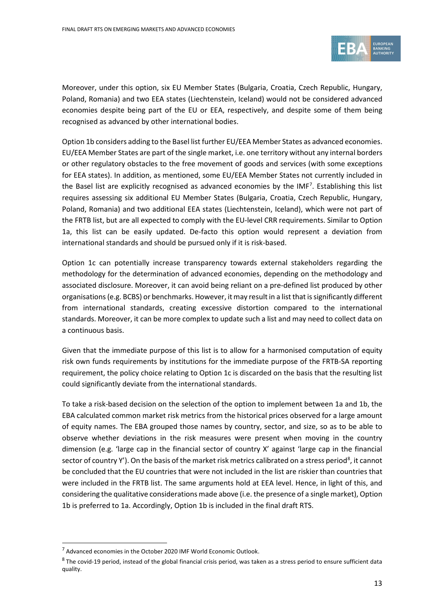

Moreover, under this option, six EU Member States (Bulgaria, Croatia, Czech Republic, Hungary, Poland, Romania) and two EEA states (Liechtenstein, Iceland) would not be considered advanced economies despite being part of the EU or EEA, respectively, and despite some of them being recognised as advanced by other international bodies.

Option 1b considers adding to the Basel list further EU/EEA Member States as advanced economies. EU/EEA Member States are part of the single market, i.e. one territory without any internal borders or other regulatory obstacles to the free movement of goods and services (with some exceptions for EEA states). In addition, as mentioned, some EU/EEA Member States not currently included in the Basel list are explicitly recognised as advanced economies by the IMF<sup>7</sup>. Establishing this list requires assessing six additional EU Member States (Bulgaria, Croatia, Czech Republic, Hungary, Poland, Romania) and two additional EEA states (Liechtenstein, Iceland), which were not part of the FRTB list, but are all expected to comply with the EU-level CRR requirements. Similar to Option 1a, this list can be easily updated. De-facto this option would represent a deviation from international standards and should be pursued only if it is risk-based.

Option 1c can potentially increase transparency towards external stakeholders regarding the methodology for the determination of advanced economies, depending on the methodology and associated disclosure. Moreover, it can avoid being reliant on a pre-defined list produced by other organisations (e.g. BCBS) or benchmarks. However, it may result in a list that issignificantly different from international standards, creating excessive distortion compared to the international standards. Moreover, it can be more complex to update such a list and may need to collect data on a continuous basis.

Given that the immediate purpose of this list is to allow for a harmonised computation of equity risk own funds requirements by institutions for the immediate purpose of the FRTB-SA reporting requirement, the policy choice relating to Option 1c is discarded on the basis that the resulting list could significantly deviate from the international standards.

To take a risk-based decision on the selection of the option to implement between 1a and 1b, the EBA calculated common market risk metrics from the historical prices observed for a large amount of equity names. The EBA grouped those names by country, sector, and size, so as to be able to observe whether deviations in the risk measures were present when moving in the country dimension (e.g. 'large cap in the financial sector of country X' against 'large cap in the financial sector of country Y'). On the basis of the market risk metrics calibrated on a stress period<sup>[8](#page-12-1)</sup>, it cannot be concluded that the EU countries that were not included in the list are riskier than countries that were included in the FRTB list. The same arguments hold at EEA level. Hence, in light of this, and considering the qualitative considerations made above (i.e. the presence of a single market), Option 1b is preferred to 1a. Accordingly, Option 1b is included in the final draft RTS.

<span id="page-12-0"></span> $7$  Advanced economies in the October 2020 IMF World Economic Outlook.

<span id="page-12-1"></span> $8$  The covid-19 period, instead of the global financial crisis period, was taken as a stress period to ensure sufficient data quality.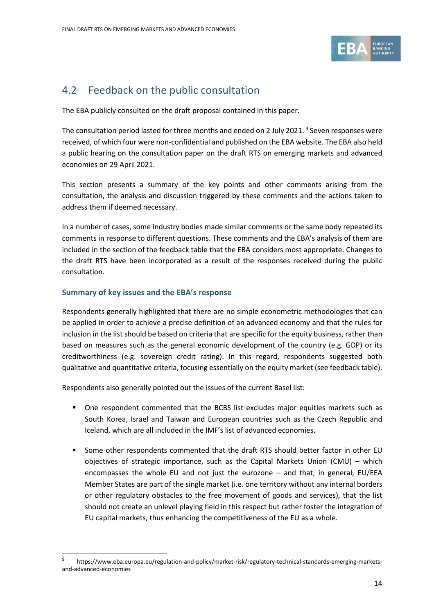

# <span id="page-13-0"></span>4.2 Feedback on the public consultation

The EBA publicly consulted on the draft proposal contained in this paper.

The consultation period lasted for three months and ended on 2 July 2021. [9](#page-13-1) Seven responses were received, of which four were non-confidential and published on the EBA website. The EBA also held a public hearing on the consultation paper on the draft RTS on emerging markets and advanced economies on 29 April 2021.

This section presents a summary of the key points and other comments arising from the consultation, the analysis and discussion triggered by these comments and the actions taken to address them if deemed necessary.

In a number of cases, some industry bodies made similar comments or the same body repeated its comments in response to different questions. These comments and the EBA's analysis of them are included in the section of the feedback table that the EBA considers most appropriate. Changes to the draft RTS have been incorporated as a result of the responses received during the public consultation.

### **Summary of key issues and the EBA's response**

Respondents generally highlighted that there are no simple econometric methodologies that can be applied in order to achieve a precise definition of an advanced economy and that the rules for inclusion in the list should be based on criteria that are specific for the equity business, rather than based on measures such as the general economic development of the country (e.g. GDP) or its creditworthiness (e.g. sovereign credit rating). In this regard, respondents suggested both qualitative and quantitative criteria, focusing essentially on the equity market (see feedback table).

Respondents also generally pointed out the issues of the current Basel list:

- One respondent commented that the BCBS list excludes major equities markets such as South Korea, Israel and Taiwan and European countries such as the Czech Republic and Iceland, which are all included in the IMF's list of advanced economies.
- Some other respondents commented that the draft RTS should better factor in other EU objectives of strategic importance, such as the Capital Markets Union (CMU) – which encompasses the whole EU and not just the eurozone – and that, in general, EU/EEA Member States are part of the single market (i.e. one territory without any internal borders or other regulatory obstacles to the free movement of goods and services), that the list should not create an unlevel playing field in this respect but rather foster the integration of EU capital markets, thus enhancing the competitiveness of the EU as a whole.

<span id="page-13-1"></span>https://www.eba.europa.eu/regulation-and-policy/market-risk/regulatory-technical-standards-emerging-marketsand-advanced-economies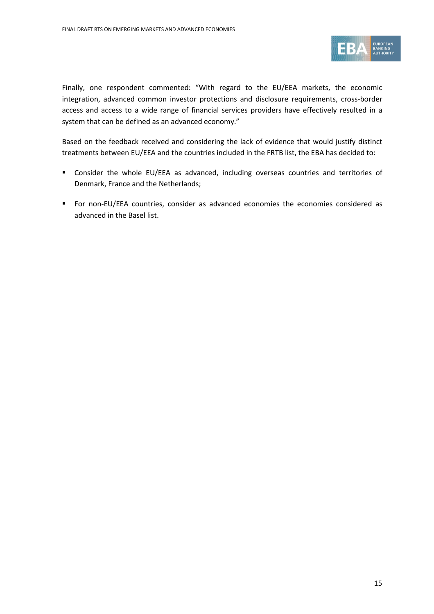

Finally, one respondent commented: "With regard to the EU/EEA markets, the economic integration, advanced common investor protections and disclosure requirements, cross-border access and access to a wide range of financial services providers have effectively resulted in a system that can be defined as an advanced economy."

Based on the feedback received and considering the lack of evidence that would justify distinct treatments between EU/EEA and the countries included in the FRTB list, the EBA has decided to:

- Consider the whole EU/EEA as advanced, including overseas countries and territories of Denmark, France and the Netherlands;
- For non-EU/EEA countries, consider as advanced economies the economies considered as advanced in the Basel list.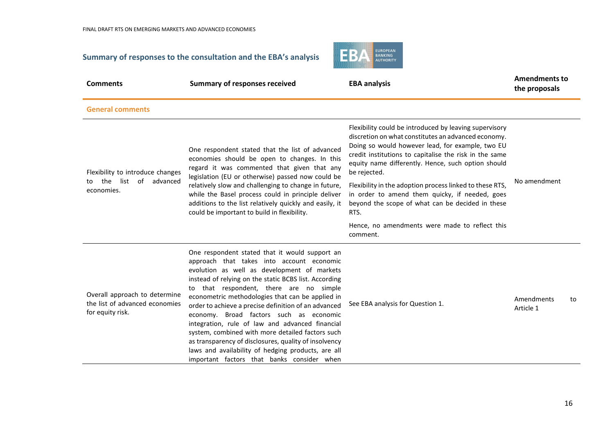# **Summary of responses to the consultation and the EBA's analysis**



| <b>Comments</b>                                                                     | <b>Summary of responses received</b>                                                                                                                                                                                                                                                                                                                                                                                                                                                                                                                                                                                                                                      | <b>EBA analysis</b>                                                                                                                                                                                                                                                                                                                                                                                                                                                         |                         | <b>Amendments to</b> |
|-------------------------------------------------------------------------------------|---------------------------------------------------------------------------------------------------------------------------------------------------------------------------------------------------------------------------------------------------------------------------------------------------------------------------------------------------------------------------------------------------------------------------------------------------------------------------------------------------------------------------------------------------------------------------------------------------------------------------------------------------------------------------|-----------------------------------------------------------------------------------------------------------------------------------------------------------------------------------------------------------------------------------------------------------------------------------------------------------------------------------------------------------------------------------------------------------------------------------------------------------------------------|-------------------------|----------------------|
| <b>General comments</b>                                                             |                                                                                                                                                                                                                                                                                                                                                                                                                                                                                                                                                                                                                                                                           |                                                                                                                                                                                                                                                                                                                                                                                                                                                                             |                         |                      |
| Flexibility to introduce changes<br>the list of advanced<br>to.<br>economies.       | One respondent stated that the list of advanced<br>economies should be open to changes. In this<br>regard it was commented that given that any<br>legislation (EU or otherwise) passed now could be<br>relatively slow and challenging to change in future,<br>while the Basel process could in principle deliver<br>additions to the list relatively quickly and easily, it<br>could be important to build in flexibility.                                                                                                                                                                                                                                               | Flexibility could be introduced by leaving supervisory<br>discretion on what constitutes an advanced economy.<br>Doing so would however lead, for example, two EU<br>credit institutions to capitalise the risk in the same<br>equity name differently. Hence, such option should<br>be rejected.<br>Flexibility in the adoption process linked to these RTS,<br>in order to amend them quicky, if needed, goes<br>beyond the scope of what can be decided in these<br>RTS. | No amendment            |                      |
|                                                                                     |                                                                                                                                                                                                                                                                                                                                                                                                                                                                                                                                                                                                                                                                           | Hence, no amendments were made to reflect this<br>comment.                                                                                                                                                                                                                                                                                                                                                                                                                  |                         |                      |
| Overall approach to determine<br>the list of advanced economies<br>for equity risk. | One respondent stated that it would support an<br>approach that takes into account economic<br>evolution as well as development of markets<br>instead of relying on the static BCBS list. According<br>to that respondent, there are no simple<br>econometric methodologies that can be applied in<br>order to achieve a precise definition of an advanced<br>economy. Broad factors such as economic<br>integration, rule of law and advanced financial<br>system, combined with more detailed factors such<br>as transparency of disclosures, quality of insolvency<br>laws and availability of hedging products, are all<br>important factors that banks consider when | See EBA analysis for Question 1.                                                                                                                                                                                                                                                                                                                                                                                                                                            | Amendments<br>Article 1 | to                   |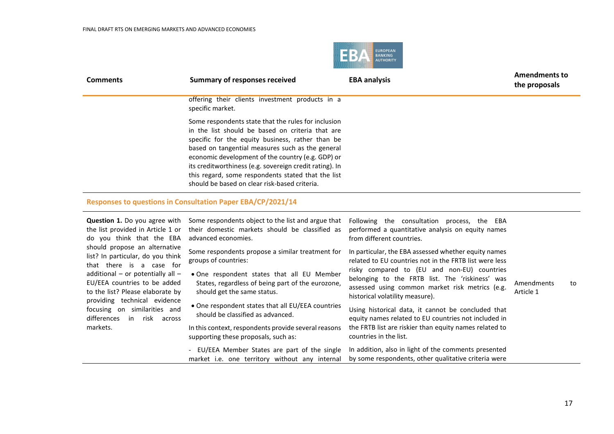

| <b>Comments</b> | <b>Summary of responses received</b>                                                                                                                                                                                                                                                                                                                                                                                                   | <b>EBA analysis</b> | <b>Amendments to</b><br>the proposals |
|-----------------|----------------------------------------------------------------------------------------------------------------------------------------------------------------------------------------------------------------------------------------------------------------------------------------------------------------------------------------------------------------------------------------------------------------------------------------|---------------------|---------------------------------------|
|                 | offering their clients investment products in a<br>specific market.                                                                                                                                                                                                                                                                                                                                                                    |                     |                                       |
|                 | Some respondents state that the rules for inclusion<br>in the list should be based on criteria that are<br>specific for the equity business, rather than be<br>based on tangential measures such as the general<br>economic development of the country (e.g. GDP) or<br>its creditworthiness (e.g. sovereign credit rating). In<br>this regard, some respondents stated that the list<br>should be based on clear risk-based criteria. |                     |                                       |
|                 |                                                                                                                                                                                                                                                                                                                                                                                                                                        |                     |                                       |

## **Responses to questions in Consultation Paper EBA/CP/2021/14**

| <b>Question 1.</b> Do you agree with<br>the list provided in Article 1 or<br>do you think that the EBA                                                                                                  | Some respondents object to the list and argue that<br>their domestic markets should be classified as<br>advanced economies.                                                                                | Following the consultation<br>process, the EBA<br>performed a quantitative analysis on equity names<br>from different countries.                                                                                                                                                                       |                         |    |
|---------------------------------------------------------------------------------------------------------------------------------------------------------------------------------------------------------|------------------------------------------------------------------------------------------------------------------------------------------------------------------------------------------------------------|--------------------------------------------------------------------------------------------------------------------------------------------------------------------------------------------------------------------------------------------------------------------------------------------------------|-------------------------|----|
| should propose an alternative<br>list? In particular, do you think<br>that there is a case for<br>additional – or potentially all –<br>EU/EEA countries to be added<br>to the list? Please elaborate by | Some respondents propose a similar treatment for<br>groups of countries:<br>• One respondent states that all EU Member<br>States, regardless of being part of the eurozone,<br>should get the same status. | In particular, the EBA assessed whether equity names<br>related to EU countries not in the FRTB list were less<br>risky compared to (EU and non-EU) countries<br>belonging to the FRTB list. The 'riskiness' was<br>assessed using common market risk metrics (e.g.<br>historical volatility measure). | Amendments<br>Article 1 | to |
| providing technical evidence<br>focusing on similarities and<br>differences<br>in risk across<br>markets.                                                                                               | • One respondent states that all EU/EEA countries<br>should be classified as advanced.<br>In this context, respondents provide several reasons<br>supporting these proposals, such as:                     | Using historical data, it cannot be concluded that<br>equity names related to EU countries not included in<br>the FRTB list are riskier than equity names related to<br>countries in the list.                                                                                                         |                         |    |
|                                                                                                                                                                                                         | - EU/EEA Member States are part of the single<br>market i.e. one territory without any internal                                                                                                            | In addition, also in light of the comments presented<br>by some respondents, other qualitative criteria were                                                                                                                                                                                           |                         |    |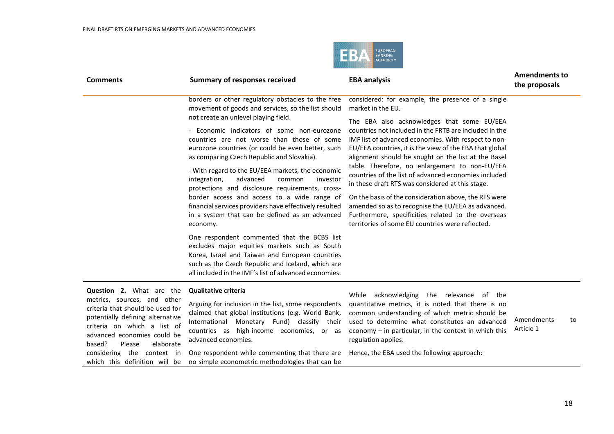

| <b>Comments</b>                                                                                                                                                                                                                                                                                      | <b>Summary of responses received</b>                                                                                                                                                                                                                                                                                                                                                                                                                                                                                                                                                                                                                                                                                                                                                                                               | <b>EBA analysis</b>                                                                                                                                                                                                                                                                                                                                                                                                                                                                                                                                                                                                                                                                                                                             | <b>Amendments to</b><br>the proposals |  |
|------------------------------------------------------------------------------------------------------------------------------------------------------------------------------------------------------------------------------------------------------------------------------------------------------|------------------------------------------------------------------------------------------------------------------------------------------------------------------------------------------------------------------------------------------------------------------------------------------------------------------------------------------------------------------------------------------------------------------------------------------------------------------------------------------------------------------------------------------------------------------------------------------------------------------------------------------------------------------------------------------------------------------------------------------------------------------------------------------------------------------------------------|-------------------------------------------------------------------------------------------------------------------------------------------------------------------------------------------------------------------------------------------------------------------------------------------------------------------------------------------------------------------------------------------------------------------------------------------------------------------------------------------------------------------------------------------------------------------------------------------------------------------------------------------------------------------------------------------------------------------------------------------------|---------------------------------------|--|
|                                                                                                                                                                                                                                                                                                      | borders or other regulatory obstacles to the free<br>movement of goods and services, so the list should<br>not create an unlevel playing field.<br>- Economic indicators of some non-eurozone<br>countries are not worse than those of some<br>eurozone countries (or could be even better, such<br>as comparing Czech Republic and Slovakia).<br>- With regard to the EU/EEA markets, the economic<br>advanced<br>integration,<br>common<br>investor<br>protections and disclosure requirements, cross-<br>border access and access to a wide range of<br>financial services providers have effectively resulted<br>in a system that can be defined as an advanced<br>economy.<br>One respondent commented that the BCBS list<br>excludes major equities markets such as South<br>Korea, Israel and Taiwan and European countries | considered: for example, the presence of a single<br>market in the EU.<br>The EBA also acknowledges that some EU/EEA<br>countries not included in the FRTB are included in the<br>IMF list of advanced economies. With respect to non-<br>EU/EEA countries, it is the view of the EBA that global<br>alignment should be sought on the list at the Basel<br>table. Therefore, no enlargement to non-EU/EEA<br>countries of the list of advanced economies included<br>in these draft RTS was considered at this stage.<br>On the basis of the consideration above, the RTS were<br>amended so as to recognise the EU/EEA as advanced.<br>Furthermore, specificities related to the overseas<br>territories of some EU countries were reflected. |                                       |  |
|                                                                                                                                                                                                                                                                                                      | such as the Czech Republic and Iceland, which are<br>all included in the IMF's list of advanced economies.                                                                                                                                                                                                                                                                                                                                                                                                                                                                                                                                                                                                                                                                                                                         |                                                                                                                                                                                                                                                                                                                                                                                                                                                                                                                                                                                                                                                                                                                                                 |                                       |  |
| <b>Question 2.</b> What are the<br>metrics, sources, and other<br>criteria that should be used for<br>potentially defining alternative<br>criteria on which a list of<br>advanced economies could be<br>based?<br>elaborate<br>Please<br>considering the context in<br>which this definition will be | <b>Qualitative criteria</b><br>Arguing for inclusion in the list, some respondents<br>claimed that global institutions (e.g. World Bank,<br>International Monetary Fund) classify their<br>countries as high-income economies, or as<br>advanced economies.<br>One respondent while commenting that there are<br>no simple econometric methodologies that can be                                                                                                                                                                                                                                                                                                                                                                                                                                                                   | While acknowledging the relevance of the<br>quantitative metrics, it is noted that there is no<br>common understanding of which metric should be<br>used to determine what constitutes an advanced<br>economy $-$ in particular, in the context in which this<br>regulation applies.<br>Hence, the EBA used the following approach:                                                                                                                                                                                                                                                                                                                                                                                                             | Amendments<br>to<br>Article 1         |  |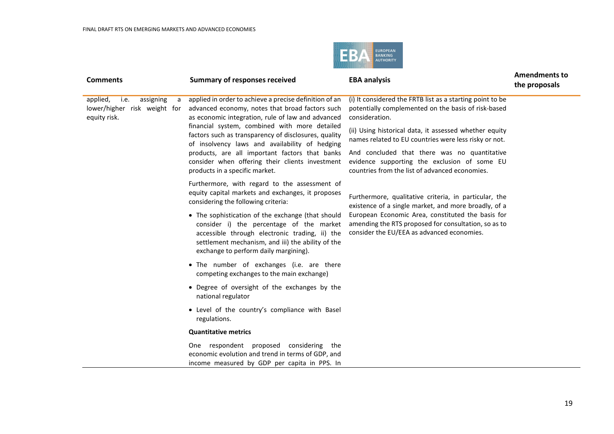

| <b>Comments</b>                                                                    | <b>Summary of responses received</b>                                                                                                                                                                                                                                                                                                                                                                                                                                                                                                                                                                                            | <b>EBA analysis</b>                                                                                                                                     | <b>Amendments to</b><br>the proposals |
|------------------------------------------------------------------------------------|---------------------------------------------------------------------------------------------------------------------------------------------------------------------------------------------------------------------------------------------------------------------------------------------------------------------------------------------------------------------------------------------------------------------------------------------------------------------------------------------------------------------------------------------------------------------------------------------------------------------------------|---------------------------------------------------------------------------------------------------------------------------------------------------------|---------------------------------------|
| applied,<br>assigning<br>i.e.<br>a<br>lower/higher risk weight for<br>equity risk. | applied in order to achieve a precise definition of an<br>advanced economy, notes that broad factors such<br>as economic integration, rule of law and advanced<br>consideration.<br>financial system, combined with more detailed<br>factors such as transparency of disclosures, quality<br>of insolvency laws and availability of hedging<br>products, are all important factors that banks<br>consider when offering their clients investment<br>products in a specific market.<br>Furthermore, with regard to the assessment of<br>equity capital markets and exchanges, it proposes<br>considering the following criteria: | (i) It considered the FRTB list as a starting point to be<br>potentially complemented on the basis of risk-based                                        |                                       |
|                                                                                    |                                                                                                                                                                                                                                                                                                                                                                                                                                                                                                                                                                                                                                 | (ii) Using historical data, it assessed whether equity<br>names related to EU countries were less risky or not.                                         |                                       |
|                                                                                    |                                                                                                                                                                                                                                                                                                                                                                                                                                                                                                                                                                                                                                 | And concluded that there was no quantitative<br>evidence supporting the exclusion of some EU<br>countries from the list of advanced economies.          |                                       |
|                                                                                    |                                                                                                                                                                                                                                                                                                                                                                                                                                                                                                                                                                                                                                 | Furthermore, qualitative criteria, in particular, the<br>existence of a single market, and more broadly, of a                                           |                                       |
|                                                                                    | • The sophistication of the exchange (that should<br>consider i) the percentage of the market<br>accessible through electronic trading, ii) the<br>settlement mechanism, and iii) the ability of the<br>exchange to perform daily margining).                                                                                                                                                                                                                                                                                                                                                                                   | European Economic Area, constituted the basis for<br>amending the RTS proposed for consultation, so as to<br>consider the EU/EEA as advanced economies. |                                       |
|                                                                                    | • The number of exchanges (i.e. are there<br>competing exchanges to the main exchange)                                                                                                                                                                                                                                                                                                                                                                                                                                                                                                                                          |                                                                                                                                                         |                                       |
|                                                                                    | • Degree of oversight of the exchanges by the<br>national regulator                                                                                                                                                                                                                                                                                                                                                                                                                                                                                                                                                             |                                                                                                                                                         |                                       |
|                                                                                    | • Level of the country's compliance with Basel<br>regulations.                                                                                                                                                                                                                                                                                                                                                                                                                                                                                                                                                                  |                                                                                                                                                         |                                       |
|                                                                                    | <b>Quantitative metrics</b>                                                                                                                                                                                                                                                                                                                                                                                                                                                                                                                                                                                                     |                                                                                                                                                         |                                       |
|                                                                                    | One respondent proposed considering the<br>economic evolution and trend in terms of GDP, and<br>income measured by GDP per capita in PPS. In                                                                                                                                                                                                                                                                                                                                                                                                                                                                                    |                                                                                                                                                         |                                       |
|                                                                                    |                                                                                                                                                                                                                                                                                                                                                                                                                                                                                                                                                                                                                                 |                                                                                                                                                         |                                       |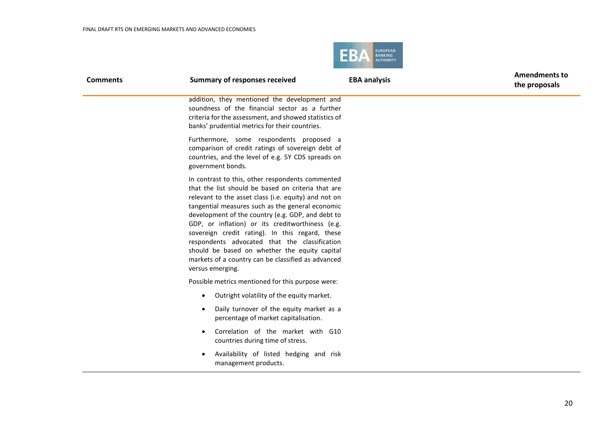

| <b>Comments</b> | <b>Summary of responses received</b>                                                                                                                                                                                                                                                                                                                                                                                                                                                                                                                       | <b>EBA analysis</b> | <b>Amendments to</b><br>the proposals |
|-----------------|------------------------------------------------------------------------------------------------------------------------------------------------------------------------------------------------------------------------------------------------------------------------------------------------------------------------------------------------------------------------------------------------------------------------------------------------------------------------------------------------------------------------------------------------------------|---------------------|---------------------------------------|
|                 | addition, they mentioned the development and<br>soundness of the financial sector as a further<br>criteria for the assessment, and showed statistics of<br>banks' prudential metrics for their countries.                                                                                                                                                                                                                                                                                                                                                  |                     |                                       |
|                 | Furthermore, some respondents proposed a<br>comparison of credit ratings of sovereign debt of<br>countries, and the level of e.g. 5Y CDS spreads on<br>government bonds.                                                                                                                                                                                                                                                                                                                                                                                   |                     |                                       |
|                 | In contrast to this, other respondents commented<br>that the list should be based on criteria that are<br>relevant to the asset class (i.e. equity) and not on<br>tangential measures such as the general economic<br>development of the country (e.g. GDP, and debt to<br>GDP, or inflation) or its creditworthiness (e.g.<br>sovereign credit rating). In this regard, these<br>respondents advocated that the classification<br>should be based on whether the equity capital<br>markets of a country can be classified as advanced<br>versus emerging. |                     |                                       |
|                 | Possible metrics mentioned for this purpose were:                                                                                                                                                                                                                                                                                                                                                                                                                                                                                                          |                     |                                       |
|                 | Outright volatility of the equity market.<br>$\bullet$                                                                                                                                                                                                                                                                                                                                                                                                                                                                                                     |                     |                                       |
|                 | Daily turnover of the equity market as a<br>$\bullet$<br>percentage of market capitalisation.                                                                                                                                                                                                                                                                                                                                                                                                                                                              |                     |                                       |
|                 | Correlation of the market with G10<br>$\bullet$<br>countries during time of stress.                                                                                                                                                                                                                                                                                                                                                                                                                                                                        |                     |                                       |
|                 | Availability of listed hedging and risk<br>management products.                                                                                                                                                                                                                                                                                                                                                                                                                                                                                            |                     |                                       |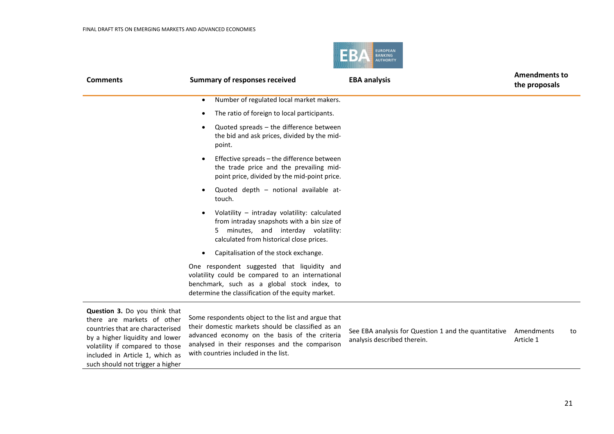

| <b>Comments</b>                                                                                                                                                                                                                              | <b>Summary of responses received</b>                                                                                                                                                                                                               | <b>EBA analysis</b>                                                                 | <b>Amendments to</b><br>the proposals |
|----------------------------------------------------------------------------------------------------------------------------------------------------------------------------------------------------------------------------------------------|----------------------------------------------------------------------------------------------------------------------------------------------------------------------------------------------------------------------------------------------------|-------------------------------------------------------------------------------------|---------------------------------------|
|                                                                                                                                                                                                                                              | Number of regulated local market makers.<br>$\bullet$                                                                                                                                                                                              |                                                                                     |                                       |
|                                                                                                                                                                                                                                              | The ratio of foreign to local participants.<br>$\bullet$                                                                                                                                                                                           |                                                                                     |                                       |
|                                                                                                                                                                                                                                              | Quoted spreads - the difference between<br>$\bullet$<br>the bid and ask prices, divided by the mid-<br>point.                                                                                                                                      |                                                                                     |                                       |
|                                                                                                                                                                                                                                              | Effective spreads - the difference between<br>$\bullet$<br>the trade price and the prevailing mid-<br>point price, divided by the mid-point price.                                                                                                 |                                                                                     |                                       |
|                                                                                                                                                                                                                                              | Quoted depth - notional available at-<br>$\bullet$<br>touch.                                                                                                                                                                                       |                                                                                     |                                       |
|                                                                                                                                                                                                                                              | Volatility - intraday volatility: calculated<br>$\bullet$<br>from intraday snapshots with a bin size of<br>minutes, and interday volatility:<br>calculated from historical close prices.                                                           |                                                                                     |                                       |
|                                                                                                                                                                                                                                              | Capitalisation of the stock exchange.<br>$\bullet$                                                                                                                                                                                                 |                                                                                     |                                       |
|                                                                                                                                                                                                                                              | One respondent suggested that liquidity and<br>volatility could be compared to an international<br>benchmark, such as a global stock index, to<br>determine the classification of the equity market.                                               |                                                                                     |                                       |
| Question 3. Do you think that<br>there are markets of other<br>countries that are characterised<br>by a higher liquidity and lower<br>volatility if compared to those<br>included in Article 1, which as<br>such should not trigger a higher | Some respondents object to the list and argue that<br>their domestic markets should be classified as an<br>advanced economy on the basis of the criteria<br>analysed in their responses and the comparison<br>with countries included in the list. | See EBA analysis for Question 1 and the quantitative<br>analysis described therein. | Amendments<br>to<br>Article 1         |